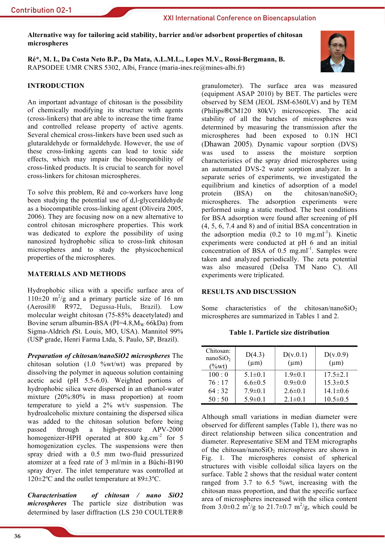Alternative way for tailoring acid stability, barrier and/or adsorbent properties of chitosan microspheres

Ré\*, M. I., Da Costa Neto B.P., Da Mata, A.L.M.L., Lopes M.V., Rossi-Bergmann, B. RAPSODEE UMR CNRS 5302, Albi, France (maria-ines.re@mines-albi.fr)



# **INTRODUCTION**

An important advantage of chitosan is the possibility of chemically modifying its structure with agents (cross-linkers) that are able to increase the time frame and controlled release property of active agents. Several chemical cross-linkers have been used such as glutaraldehyde or formaldehyde. However, the use of these cross-linking agents can lead to toxic side effects, which may impair the biocompatibility of cross-linked products. It is crucial to search for novel cross-linkers for chitosan microspheres.

To solve this problem, Ré and co-workers have long been studying the potential use of d.l-glyceraldehyde as a biocompatible cross-linking agent (Oliveira 2005, 2006). They are focusing now on a new alternative to control chitosan microsphere properties. This work was dedicated to explore the possibility of using nanosized hydrophobic silica to cross-link chitosan microspheres and to study the physicochemical properties of the microspheres.

### **MATERIALS AND METHODS**

Hydrophobic silica with a specific surface area of  $110\pm20$  m<sup>2</sup>/g and a primary particle size of 16 nm (Aerosil® R972, Degussa-Huls, Brazil). Low molecular weight chitosan (75-85% deacetylated) and Bovine serum albumin-BSA ( $PI=4.8$  M<sub>w</sub> 66kDa) from Sigma-Aldrich (St. Louis, MO, USA). Mannitol 99% (USP grade, Henri Farma Ltda, S. Paulo, SP, Brazil).

**Preparation of chitosan/nanoSiO2 microspheres** The chitosan solution  $(1.0 \, \frac{\%wt}{wt})$  was prepared by dissolving the polymer in aqueous solution containing acetic acid (pH 5.5-6.0). Weighted portions of hydrophobic silica were dispersed in an ethanol-water mixture (20%:80% in mass proportion) at room temperature to yield a  $2\%$  wt/v suspension. The hydroalcoholic mixture containing the dispersed silical was added to the chitosan solution before being passed through  $\mathbf{a}$ high-pressure APV-2000 homogenizer-HPH operated at 800 kg.cm<sup>-2</sup> for 5 homogenization cycles. The suspensions were then sprav dried with a 0.5 mm two-fluid pressurized atomizer at a feed rate of 3 ml/min in a Büchi-B190 spray dryer. The inlet temperature was controlled at  $120 \pm 2$ °C and the outlet temperature at 89 $\pm 3$ °C.

**Characterisation** of chitosan / nano SiO2 *microspheres* The particle size distribution was determined by laser diffraction (LS 230 COULTER®

granulometer). The surface area was measured (equipment ASAP 2010) by BET. The particles were observed by SEM (JEOL JSM-6360LV) and by TEM (Philips®CM120 80kV) microscopies. The acid stability of all the batches of microspheres was determined by measuring the transmission after the microspheres had been exposed to 0.1N HCl (Dhawan 2005). Dynamic vapour sorption (DVS) was used to assess the moisture sorption characteristics of the spray dried microspheres using an automated DVS-2 water sorption analyzer. In a separate series of experiments, we investigated the equilibrium and kinetics of adsorption of a model  $(BSA)$ the chitosan/nanoSiO<sub>2</sub> protein on microspheres. The adsorption experiments were performed using a static method. The best conditions for BSA adsorption were found after screening of pH  $(4, 5, 6, 7.4, 8)$  and 8) and of initial BSA concentration in the adsorption media  $(0.2 \text{ to } 10 \text{ mg.m}^{-1})$ . Kinetic experiments were conducted at pH 6 and an initial concentration of BSA of 0.5 mg.ml<sup>-1</sup>. Samples were taken and analyzed periodically. The zeta potential was also measured (Delsa TM Nano C). All experiments were triplicated.

## **RESULTS AND DISCUSSION**

Some characteristics of the chitosan/nanoSiO<sub>2</sub> microspheres are summarized in Tables 1 and 2.

Table 1. Particle size distribution

| Chitosan:<br>nanoSiO <sub>2</sub><br>$(\%wt)$ | D(4.3)<br>$(\mu m)$ | D(v.0.1)<br>$(\mu m)$ | D(v.0.9)<br>$(\mu m)$ |
|-----------------------------------------------|---------------------|-----------------------|-----------------------|
| 100:0                                         | $5.1 \pm 0.1$       | $1.9 \pm 0.1$         | $17.5 \pm 2.1$        |
| 76:17                                         | $6.6 \pm 0.5$       | $0.9 \pm 0.0$         | $15.3 \pm 0.5$        |
| 64:32                                         | $7.9 \pm 0.1$       | $2.6 \pm 0.1$         | $14.1\pm0.6$          |
| 50:50                                         | $5.9 \pm 0.1$       | $2.1 \pm 0.1$         | $10.5 \pm 0.5$        |

Although small variations in median diameter were observed for different samples (Table 1), there was no direct relationship between silica concentration and diameter. Representative SEM and TEM micrographs of the chitosan/nanoSiO<sub>2</sub> microspheres are shown in Fig. 1. The microspheres consist of spherical structures with visible colloidal silica lavers on the surface. Table 2 shows that the residual water content ranged from 3.7 to 6.5 %wt, increasing with the chitosan mass proportion, and that the specific surface area of microspheres increased with the silica content from 3.0±0.2 m<sup>2</sup>/g to 21.7±0.7 m<sup>2</sup>/g, which could be